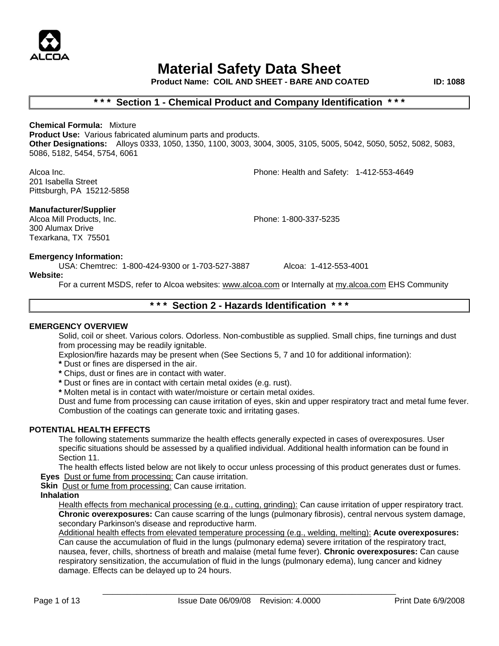

**Product Name: COIL AND SHEET - BARE AND COATED ID: 1088**

# **\* \* \* Section 1 - Chemical Product and Company Identification \* \* \***

**Chemical Formula:** Mixture **Product Use:** Various fabricated aluminum parts and products. **Other Designations:** Alloys 0333, 1050, 1350, 1100, 3003, 3004, 3005, 3105, 5005, 5042, 5050, 5052, 5082, 5083, 5086, 5182, 5454, 5754, 6061

Alcoa Inc. Phone: Health and Safety: 1-412-553-4649 201 Isabella Street Pittsburgh, PA 15212-5858

# **Manufacturer/Supplier**

Alcoa Mill Products, Inc. Phone: 1-800-337-5235 300 Alumax Drive Texarkana, TX 75501

# **Emergency Information:**

USA: Chemtrec: 1-800-424-9300 or 1-703-527-3887 Alcoa: 1-412-553-4001

**Website:**

For a current MSDS, refer to Alcoa websites: www.alcoa.com or Internally at my.alcoa.com EHS Community

# **\* \* \* Section 2 - Hazards Identification \* \* \***

#### **EMERGENCY OVERVIEW**

Solid, coil or sheet. Various colors. Odorless. Non-combustible as supplied. Small chips, fine turnings and dust from processing may be readily ignitable.

Explosion/fire hazards may be present when (See Sections 5, 7 and 10 for additional information):

- **\*** Dust or fines are dispersed in the air.
- **\*** Chips, dust or fines are in contact with water.
- **\*** Dust or fines are in contact with certain metal oxides (e.g. rust).
- **\*** Molten metal is in contact with water/moisture or certain metal oxides.

Dust and fume from processing can cause irritation of eyes, skin and upper respiratory tract and metal fume fever. Combustion of the coatings can generate toxic and irritating gases.

## **POTENTIAL HEALTH EFFECTS**

The following statements summarize the health effects generally expected in cases of overexposures. User specific situations should be assessed by a qualified individual. Additional health information can be found in Section 11.

The health effects listed below are not likely to occur unless processing of this product generates dust or fumes.  **Eyes** Dust or fume from processing: Can cause irritation.

**Skin** Dust or fume from processing: Can cause irritation.

#### **Inhalation**

Health effects from mechanical processing (e.g., cutting, grinding): Can cause irritation of upper respiratory tract. **Chronic overexposures:** Can cause scarring of the lungs (pulmonary fibrosis), central nervous system damage, secondary Parkinson's disease and reproductive harm.

Additional health effects from elevated temperature processing (e.g., welding, melting): **Acute overexposures:** Can cause the accumulation of fluid in the lungs (pulmonary edema) severe irritation of the respiratory tract, nausea, fever, chills, shortness of breath and malaise (metal fume fever). **Chronic overexposures:** Can cause respiratory sensitization, the accumulation of fluid in the lungs (pulmonary edema), lung cancer and kidney damage. Effects can be delayed up to 24 hours.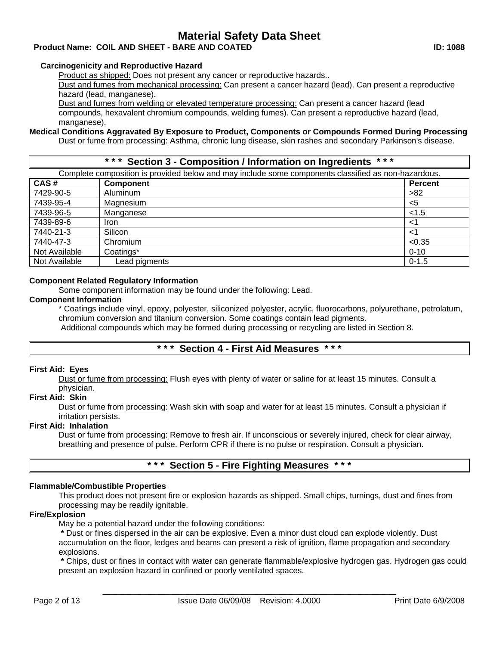# **Product Name: COIL AND SHEET - BARE AND COATED ID: 1088**

# **Carcinogenicity and Reproductive Hazard**

Product as shipped: Does not present any cancer or reproductive hazards..

Dust and fumes from mechanical processing: Can present a cancer hazard (lead). Can present a reproductive hazard (lead, manganese).

Dust and fumes from welding or elevated temperature processing: Can present a cancer hazard (lead compounds, hexavalent chromium compounds, welding fumes). Can present a reproductive hazard (lead, manganese).

#### **Medical Conditions Aggravated By Exposure to Product, Components or Compounds Formed During Processing** Dust or fume from processing: Asthma, chronic lung disease, skin rashes and secondary Parkinson's disease.

**\* \* \* Section 3 - Composition / Information on Ingredients \* \* \*** 

Complete composition is provided below and may include some components classified as non-hazardous.

| CAS#          | <b>Component</b> | <b>Percent</b> |
|---------------|------------------|----------------|
| 7429-90-5     | Aluminum         | >82            |
| 7439-95-4     | Magnesium        | $<$ 5          |
| 7439-96-5     | Manganese        | < 1.5          |
| 7439-89-6     | <b>Iron</b>      | <1             |
| 7440-21-3     | Silicon          | <1             |
| 7440-47-3     | Chromium         | < 0.35         |
| Not Available | Coatings*        | $0 - 10$       |
| Not Available | Lead pigments    | $0 - 1.5$      |

# **Component Related Regulatory Information**

Some component information may be found under the following: Lead.

# **Component Information**

\* Coatings include vinyl, epoxy, polyester, siliconized polyester, acrylic, fluorocarbons, polyurethane, petrolatum, chromium conversion and titanium conversion. Some coatings contain lead pigments.

Additional compounds which may be formed during processing or recycling are listed in Section 8.

# **\* \* \* Section 4 - First Aid Measures \* \* \***

## **First Aid: Eyes**

Dust or fume from processing: Flush eyes with plenty of water or saline for at least 15 minutes. Consult a physician.

## **First Aid: Skin**

Dust or fume from processing: Wash skin with soap and water for at least 15 minutes. Consult a physician if irritation persists.

## **First Aid: Inhalation**

Dust or fume from processing: Remove to fresh air. If unconscious or severely injured, check for clear airway, breathing and presence of pulse. Perform CPR if there is no pulse or respiration. Consult a physician.

# **\* \* \* Section 5 - Fire Fighting Measures \* \* \***

# **Flammable/Combustible Properties**

This product does not present fire or explosion hazards as shipped. Small chips, turnings, dust and fines from processing may be readily ignitable.

# **Fire/Explosion**

May be a potential hazard under the following conditions:

**\*** Dust or fines dispersed in the air can be explosive. Even a minor dust cloud can explode violently. Dust accumulation on the floor, ledges and beams can present a risk of ignition, flame propagation and secondary explosions.

**\*** Chips, dust or fines in contact with water can generate flammable/explosive hydrogen gas. Hydrogen gas could present an explosion hazard in confined or poorly ventilated spaces.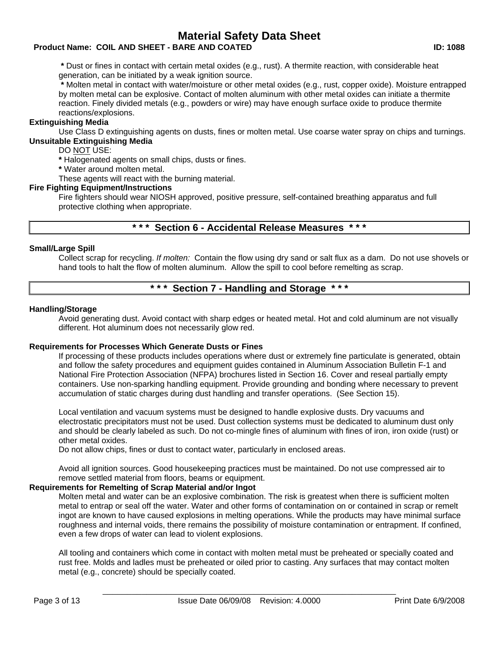# **Product Name: COIL AND SHEET - BARE AND COATED ID: 1088**

**\*** Dust or fines in contact with certain metal oxides (e.g., rust). A thermite reaction, with considerable heat generation, can be initiated by a weak ignition source.

**\*** Molten metal in contact with water/moisture or other metal oxides (e.g., rust, copper oxide). Moisture entrapped by molten metal can be explosive. Contact of molten aluminum with other metal oxides can initiate a thermite reaction. Finely divided metals (e.g., powders or wire) may have enough surface oxide to produce thermite reactions/explosions.

## **Extinguishing Media**

Use Class D extinguishing agents on dusts, fines or molten metal. Use coarse water spray on chips and turnings. **Unsuitable Extinguishing Media**

DO NOT USE:

**\*** Halogenated agents on small chips, dusts or fines.

**\*** Water around molten metal.

These agents will react with the burning material.

## **Fire Fighting Equipment/Instructions**

Fire fighters should wear NIOSH approved, positive pressure, self-contained breathing apparatus and full protective clothing when appropriate.

# **\* \* \* Section 6 - Accidental Release Measures \* \* \***

## **Small/Large Spill**

Collect scrap for recycling. *If molten:* Contain the flow using dry sand or salt flux as a dam. Do not use shovels or hand tools to halt the flow of molten aluminum. Allow the spill to cool before remelting as scrap.

# **\* \* \* Section 7 - Handling and Storage \* \* \***

## **Handling/Storage**

Avoid generating dust. Avoid contact with sharp edges or heated metal. Hot and cold aluminum are not visually different. Hot aluminum does not necessarily glow red.

## **Requirements for Processes Which Generate Dusts or Fines**

If processing of these products includes operations where dust or extremely fine particulate is generated, obtain and follow the safety procedures and equipment guides contained in Aluminum Association Bulletin F-1 and National Fire Protection Association (NFPA) brochures listed in Section 16. Cover and reseal partially empty containers. Use non-sparking handling equipment. Provide grounding and bonding where necessary to prevent accumulation of static charges during dust handling and transfer operations. (See Section 15).

Local ventilation and vacuum systems must be designed to handle explosive dusts. Dry vacuums and electrostatic precipitators must not be used. Dust collection systems must be dedicated to aluminum dust only and should be clearly labeled as such. Do not co-mingle fines of aluminum with fines of iron, iron oxide (rust) or other metal oxides.

Do not allow chips, fines or dust to contact water, particularly in enclosed areas.

Avoid all ignition sources. Good housekeeping practices must be maintained. Do not use compressed air to remove settled material from floors, beams or equipment.

## **Requirements for Remelting of Scrap Material and/or Ingot**

Molten metal and water can be an explosive combination. The risk is greatest when there is sufficient molten metal to entrap or seal off the water. Water and other forms of contamination on or contained in scrap or remelt ingot are known to have caused explosions in melting operations. While the products may have minimal surface roughness and internal voids, there remains the possibility of moisture contamination or entrapment. If confined, even a few drops of water can lead to violent explosions.

All tooling and containers which come in contact with molten metal must be preheated or specially coated and rust free. Molds and ladles must be preheated or oiled prior to casting. Any surfaces that may contact molten metal (e.g., concrete) should be specially coated.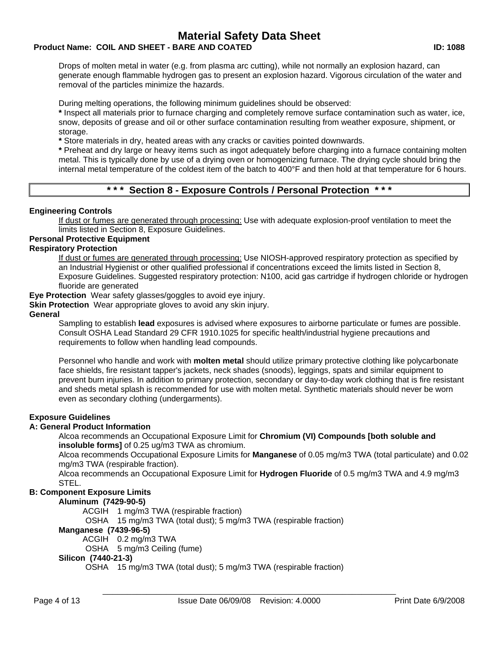# **Product Name: COIL AND SHEET - BARE AND COATED ID: 1088**

Drops of molten metal in water (e.g. from plasma arc cutting), while not normally an explosion hazard, can generate enough flammable hydrogen gas to present an explosion hazard. Vigorous circulation of the water and removal of the particles minimize the hazards.

During melting operations, the following minimum guidelines should be observed:

**\*** Inspect all materials prior to furnace charging and completely remove surface contamination such as water, ice, snow, deposits of grease and oil or other surface contamination resulting from weather exposure, shipment, or storage.

**\*** Store materials in dry, heated areas with any cracks or cavities pointed downwards.

**\*** Preheat and dry large or heavy items such as ingot adequately before charging into a furnace containing molten metal. This is typically done by use of a drying oven or homogenizing furnace. The drying cycle should bring the internal metal temperature of the coldest item of the batch to 400°F and then hold at that temperature for 6 hours.

# **\* \* \* Section 8 - Exposure Controls / Personal Protection \* \* \***

# **Engineering Controls**

If dust or fumes are generated through processing: Use with adequate explosion-proof ventilation to meet the limits listed in Section 8, Exposure Guidelines.

## **Personal Protective Equipment**

## **Respiratory Protection**

If dust or fumes are generated through processing: Use NIOSH-approved respiratory protection as specified by an Industrial Hygienist or other qualified professional if concentrations exceed the limits listed in Section 8, Exposure Guidelines. Suggested respiratory protection: N100, acid gas cartridge if hydrogen chloride or hydrogen fluoride are generated

**Eye Protection** Wear safety glasses/goggles to avoid eye injury.

**Skin Protection** Wear appropriate gloves to avoid any skin injury.

#### **General**

Sampling to establish **lead** exposures is advised where exposures to airborne particulate or fumes are possible. Consult OSHA Lead Standard 29 CFR 1910.1025 for specific health/industrial hygiene precautions and requirements to follow when handling lead compounds.

Personnel who handle and work with **molten metal** should utilize primary protective clothing like polycarbonate face shields, fire resistant tapper's jackets, neck shades (snoods), leggings, spats and similar equipment to prevent burn injuries. In addition to primary protection, secondary or day-to-day work clothing that is fire resistant and sheds metal splash is recommended for use with molten metal. Synthetic materials should never be worn even as secondary clothing (undergarments).

## **Exposure Guidelines**

## **A: General Product Information**

Alcoa recommends an Occupational Exposure Limit for **Chromium (VI) Compounds [both soluble and insoluble forms]** of 0.25 ug/m3 TWA as chromium.

Alcoa recommends Occupational Exposure Limits for **Manganese** of 0.05 mg/m3 TWA (total particulate) and 0.02 mg/m3 TWA (respirable fraction).

Alcoa recommends an Occupational Exposure Limit for **Hydrogen Fluoride** of 0.5 mg/m3 TWA and 4.9 mg/m3 STEL.

# **B: Component Exposure Limits**

## **Aluminum (7429-90-5)**

ACGIH 1 mg/m3 TWA (respirable fraction)

OSHA 15 mg/m3 TWA (total dust); 5 mg/m3 TWA (respirable fraction)

## **Manganese (7439-96-5)**

ACGIH 0.2 mg/m3 TWA

OSHA 5 mg/m3 Ceiling (fume)

## **Silicon (7440-21-3)**

OSHA 15 mg/m3 TWA (total dust); 5 mg/m3 TWA (respirable fraction)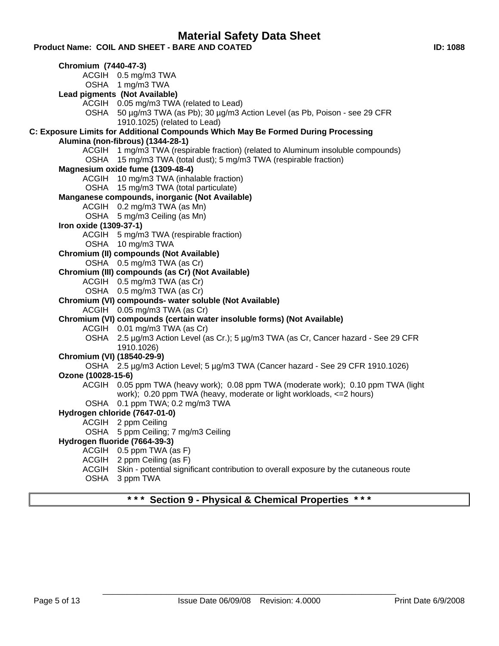**Product Name: COIL AND SHEET - BARE AND COATED ID: 1088**

**Chromium (7440-47-3)** ACGIH 0.5 mg/m3 TWA OSHA 1 mg/m3 TWA **Lead pigments (Not Available)** ACGIH 0.05 mg/m3 TWA (related to Lead) OSHA 50 µg/m3 TWA (as Pb); 30 µg/m3 Action Level (as Pb, Poison - see 29 CFR 1910.1025) (related to Lead) **C: Exposure Limits for Additional Compounds Which May Be Formed During Processing Alumina (non-fibrous) (1344-28-1)** ACGIH 1 mg/m3 TWA (respirable fraction) (related to Aluminum insoluble compounds) OSHA 15 mg/m3 TWA (total dust); 5 mg/m3 TWA (respirable fraction) **Magnesium oxide fume (1309-48-4)** ACGIH 10 mg/m3 TWA (inhalable fraction) OSHA 15 mg/m3 TWA (total particulate) **Manganese compounds, inorganic (Not Available)** ACGIH 0.2 mg/m3 TWA (as Mn) OSHA 5 mg/m3 Ceiling (as Mn) **Iron oxide (1309-37-1)** ACGIH 5 mg/m3 TWA (respirable fraction) OSHA 10 mg/m3 TWA **Chromium (II) compounds (Not Available)** OSHA 0.5 mg/m3 TWA (as Cr) **Chromium (III) compounds (as Cr) (Not Available)** ACGIH 0.5 mg/m3 TWA (as Cr) OSHA 0.5 mg/m3 TWA (as Cr) **Chromium (VI) compounds- water soluble (Not Available)** ACGIH 0.05 mg/m3 TWA (as Cr) **Chromium (VI) compounds (certain water insoluble forms) (Not Available)** ACGIH 0.01 mg/m3 TWA (as Cr) OSHA 2.5 µg/m3 Action Level (as Cr.); 5 µg/m3 TWA (as Cr, Cancer hazard - See 29 CFR 1910.1026) **Chromium (VI) (18540-29-9)** OSHA 2.5 µg/m3 Action Level; 5 µg/m3 TWA (Cancer hazard - See 29 CFR 1910.1026) **Ozone (10028-15-6)** ACGIH 0.05 ppm TWA (heavy work); 0.08 ppm TWA (moderate work); 0.10 ppm TWA (light work); 0.20 ppm TWA (heavy, moderate or light workloads, <=2 hours) OSHA 0.1 ppm TWA; 0.2 mg/m3 TWA **Hydrogen chloride (7647-01-0)** ACGIH 2 ppm Ceiling OSHA 5 ppm Ceiling; 7 mg/m3 Ceiling **Hydrogen fluoride (7664-39-3)** ACGIH 0.5 ppm TWA (as F) ACGIH 2 ppm Ceiling (as F) ACGIH Skin - potential significant contribution to overall exposure by the cutaneous route OSHA 3 ppm TWA **\* \* \* Section 9 - Physical & Chemical Properties \* \* \***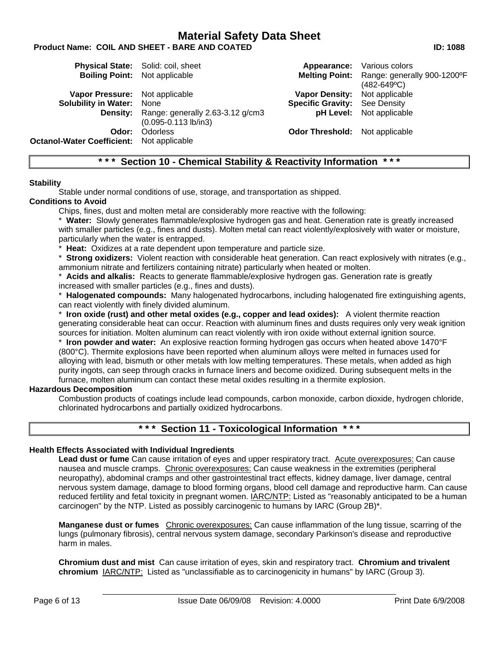# **Product Name: COIL AND SHEET - BARE AND COATED ID: 1088**

|                                                  | <b>Physical State:</b> Solid: coil, sheet                             |                                       | <b>Appearance:</b> Various colors                                    |
|--------------------------------------------------|-----------------------------------------------------------------------|---------------------------------------|----------------------------------------------------------------------|
| <b>Boiling Point:</b> Not applicable             |                                                                       |                                       | Melting Point: Range: generally 900-1200°F<br>$(482 - 649^{\circ}C)$ |
| Vapor Pressure: Not applicable                   |                                                                       | <b>Vapor Density:</b> Not applicable  |                                                                      |
| <b>Solubility in Water: None</b>                 |                                                                       | <b>Specific Gravity:</b> See Density  |                                                                      |
|                                                  | Density: Range: generally 2.63-3.12 g/cm3<br>$(0.095 - 0.113$ lb/in3) |                                       | <b>pH Level:</b> Not applicable                                      |
| Odor:                                            | <b>Odorless</b>                                                       | <b>Odor Threshold:</b> Not applicable |                                                                      |
| <b>Octanol-Water Coefficient:</b> Not applicable |                                                                       |                                       |                                                                      |

# **\* \* \* Section 10 - Chemical Stability & Reactivity Information \* \* \***

#### **Stability**

Stable under normal conditions of use, storage, and transportation as shipped.

#### **Conditions to Avoid**

Chips, fines, dust and molten metal are considerably more reactive with the following:

\* **Water:** Slowly generates flammable/explosive hydrogen gas and heat. Generation rate is greatly increased with smaller particles (e.g., fines and dusts). Molten metal can react violently/explosively with water or moisture, particularly when the water is entrapped.

**Heat:** Oxidizes at a rate dependent upon temperature and particle size.

\* **Strong oxidizers:** Violent reaction with considerable heat generation. Can react explosively with nitrates (e.g., ammonium nitrate and fertilizers containing nitrate) particularly when heated or molten.

**Acids and alkalis:** Reacts to generate flammable/explosive hydrogen gas. Generation rate is greatly increased with smaller particles (e.g., fines and dusts).

\* **Halogenated compounds:** Many halogenated hydrocarbons, including halogenated fire extinguishing agents, can react violently with finely divided aluminum.

\* **Iron oxide (rust) and other metal oxides (e.g., copper and lead oxides):** A violent thermite reaction generating considerable heat can occur. Reaction with aluminum fines and dusts requires only very weak ignition sources for initiation. Molten aluminum can react violently with iron oxide without external ignition source.

\* **Iron powder and water:** An explosive reaction forming hydrogen gas occurs when heated above 1470°F (800°C). Thermite explosions have been reported when aluminum alloys were melted in furnaces used for alloying with lead, bismuth or other metals with low melting temperatures. These metals, when added as high purity ingots, can seep through cracks in furnace liners and become oxidized. During subsequent melts in the furnace, molten aluminum can contact these metal oxides resulting in a thermite explosion.

## **Hazardous Decomposition**

Combustion products of coatings include lead compounds, carbon monoxide, carbon dioxide, hydrogen chloride, chlorinated hydrocarbons and partially oxidized hydrocarbons.

# **\* \* \* Section 11 - Toxicological Information \* \* \***

## **Health Effects Associated with Individual Ingredients**

**Lead dust or fume** Can cause irritation of eyes and upper respiratory tract. Acute overexposures: Can cause nausea and muscle cramps. Chronic overexposures: Can cause weakness in the extremities (peripheral neuropathy), abdominal cramps and other gastrointestinal tract effects, kidney damage, liver damage, central nervous system damage, damage to blood forming organs, blood cell damage and reproductive harm. Can cause reduced fertility and fetal toxicity in pregnant women. IARC/NTP: Listed as "reasonably anticipated to be a human carcinogen" by the NTP. Listed as possibly carcinogenic to humans by IARC (Group 2B)\*.

**Manganese dust or fumes** Chronic overexposures: Can cause inflammation of the lung tissue, scarring of the lungs (pulmonary fibrosis), central nervous system damage, secondary Parkinson's disease and reproductive harm in males.

**Chromium dust and mist** Can cause irritation of eyes, skin and respiratory tract. **Chromium and trivalent chromium** IARC/NTP: Listed as "unclassifiable as to carcinogenicity in humans" by IARC (Group 3).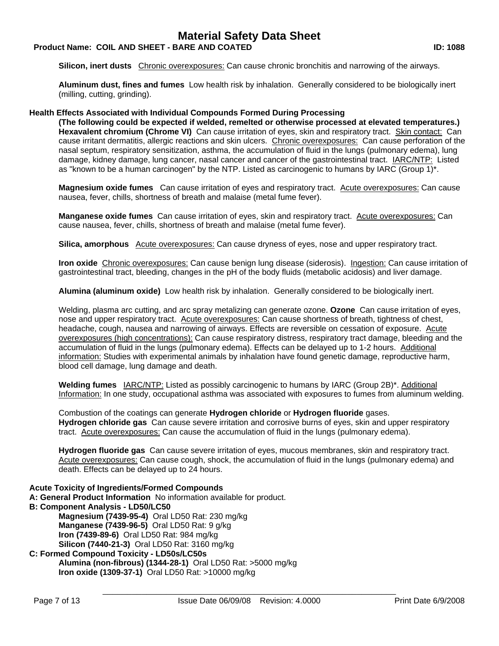# **Product Name: COIL AND SHEET - BARE AND COATED ID: 1088**

**Silicon, inert dusts** Chronic overexposures: Can cause chronic bronchitis and narrowing of the airways.

**Aluminum dust, fines and fumes** Low health risk by inhalation. Generally considered to be biologically inert (milling, cutting, grinding).

## **Health Effects Associated with Individual Compounds Formed During Processing**

**(The following could be expected if welded, remelted or otherwise processed at elevated temperatures.) Hexavalent chromium (Chrome VI)** Can cause irritation of eyes, skin and respiratory tract. Skin contact: Can cause irritant dermatitis, allergic reactions and skin ulcers. Chronic overexposures: Can cause perforation of the nasal septum, respiratory sensitization, asthma, the accumulation of fluid in the lungs (pulmonary edema), lung damage, kidney damage, lung cancer, nasal cancer and cancer of the gastrointestinal tract. IARC/NTP: Listed as "known to be a human carcinogen" by the NTP. Listed as carcinogenic to humans by IARC (Group 1)\*.

**Magnesium oxide fumes** Can cause irritation of eyes and respiratory tract. Acute overexposures: Can cause nausea, fever, chills, shortness of breath and malaise (metal fume fever).

**Manganese oxide fumes** Can cause irritation of eyes, skin and respiratory tract. Acute overexposures: Can cause nausea, fever, chills, shortness of breath and malaise (metal fume fever).

**Silica, amorphous** Acute overexposures: Can cause dryness of eyes, nose and upper respiratory tract.

**Iron oxide** Chronic overexposures: Can cause benign lung disease (siderosis). Ingestion: Can cause irritation of gastrointestinal tract, bleeding, changes in the pH of the body fluids (metabolic acidosis) and liver damage.

**Alumina (aluminum oxide)** Low health risk by inhalation. Generally considered to be biologically inert.

Welding, plasma arc cutting, and arc spray metalizing can generate ozone. **Ozone** Can cause irritation of eyes, nose and upper respiratory tract. Acute overexposures: Can cause shortness of breath, tightness of chest, headache, cough, nausea and narrowing of airways. Effects are reversible on cessation of exposure. Acute overexposures (high concentrations): Can cause respiratory distress, respiratory tract damage, bleeding and the accumulation of fluid in the lungs (pulmonary edema). Effects can be delayed up to 1-2 hours. Additional information: Studies with experimental animals by inhalation have found genetic damage, reproductive harm, blood cell damage, lung damage and death.

**Welding fumes** IARC/NTP: Listed as possibly carcinogenic to humans by IARC (Group 2B)\*. Additional Information: In one study, occupational asthma was associated with exposures to fumes from aluminum welding.

Combustion of the coatings can generate **Hydrogen chloride** or **Hydrogen fluoride** gases. **Hydrogen chloride gas** Can cause severe irritation and corrosive burns of eyes, skin and upper respiratory tract. Acute overexposures: Can cause the accumulation of fluid in the lungs (pulmonary edema).

**Hydrogen fluoride gas** Can cause severe irritation of eyes, mucous membranes, skin and respiratory tract. Acute overexposures: Can cause cough, shock, the accumulation of fluid in the lungs (pulmonary edema) and death. Effects can be delayed up to 24 hours.

## **Acute Toxicity of Ingredients/Formed Compounds**

**A: General Product Information** No information available for product.

**B: Component Analysis - LD50/LC50** 

**Magnesium (7439-95-4)** Oral LD50 Rat: 230 mg/kg **Manganese (7439-96-5)** Oral LD50 Rat: 9 g/kg **Iron (7439-89-6)** Oral LD50 Rat: 984 mg/kg **Silicon (7440-21-3)** Oral LD50 Rat: 3160 mg/kg

#### **C: Formed Compound Toxicity - LD50s/LC50s Alumina (non-fibrous) (1344-28-1)** Oral LD50 Rat: >5000 mg/kg **Iron oxide (1309-37-1)** Oral LD50 Rat: >10000 mg/kg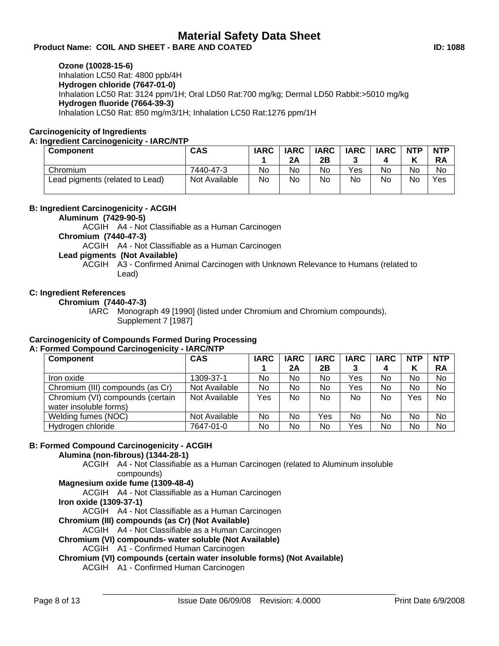# Product Name: COIL AND SHEET - BARE AND COATED **ID: 1088**

**Ozone (10028-15-6)**

Inhalation LC50 Rat: 4800 ppb/4H **Hydrogen chloride (7647-01-0)** Inhalation LC50 Rat: 3124 ppm/1H; Oral LD50 Rat:700 mg/kg; Dermal LD50 Rabbit:>5010 mg/kg **Hydrogen fluoride (7664-39-3)** Inhalation LC50 Rat: 850 mg/m3/1H; Inhalation LC50 Rat:1276 ppm/1H

# **Carcinogenicity of Ingredients**

## **A: Ingredient Carcinogenicity - IARC/NTP**

| <b>Component</b>                | <b>CAS</b>    | <b>IARC</b> | <b>IARC</b><br>2A | <b>IARC</b><br>2Β | <b>IARC</b> | <b>IARC</b> | <b>NTP</b><br>v | <b>NTP</b><br><b>RA</b> |
|---------------------------------|---------------|-------------|-------------------|-------------------|-------------|-------------|-----------------|-------------------------|
| Chromium                        | 7440-47-3     | No          | No                | No                | Yes         | No          | No              | No                      |
| Lead pigments (related to Lead) | Not Available | No          | No                | No                | No          | No          | No              | Yes                     |

# **B: Ingredient Carcinogenicity - ACGIH**

**Aluminum (7429-90-5)**

ACGIH A4 - Not Classifiable as a Human Carcinogen

# **Chromium (7440-47-3)**

ACGIH A4 - Not Classifiable as a Human Carcinogen

# **Lead pigments (Not Available)**

ACGIH A3 - Confirmed Animal Carcinogen with Unknown Relevance to Humans (related to Lead)

# **C: Ingredient References**

**Chromium (7440-47-3)**

IARC Monograph 49 [1990] (listed under Chromium and Chromium compounds), Supplement 7 [1987]

#### **Carcinogenicity of Compounds Formed During Processing A: Formed Compound Carcinogenicity - IARC/NTP**

| Component                        | <b>CAS</b>    | <b>IARC</b> | <b>IARC</b> | <b>IARC</b> | <b>IARC</b> | <b>IARC</b> | <b>NTP</b> | <b>NTP</b> |
|----------------------------------|---------------|-------------|-------------|-------------|-------------|-------------|------------|------------|
|                                  |               |             | 2Α          | 2B          | 3           | 4           | Κ          | <b>RA</b>  |
| Iron oxide                       | 1309-37-1     | No          | No          | No          | Yes         | No          | No         | No         |
| Chromium (III) compounds (as Cr) | Not Available | No          | No          | No          | Yes         | No          | No         | No         |
| Chromium (VI) compounds (certain | Not Available | Yes         | No          | No          | <b>No</b>   | No          | Yes        | No         |
| water insoluble forms)           |               |             |             |             |             |             |            |            |
| Welding fumes (NOC)              | Not Available | No          | No          | Yes         | No          | No          | No         | No         |
| Hydrogen chloride                | 7647-01-0     | No          | No          | No          | Yes         | No          | No         | No         |

# **B: Formed Compound Carcinogenicity - ACGIH**

**Alumina (non-fibrous) (1344-28-1)**

ACGIH A4 - Not Classifiable as a Human Carcinogen (related to Aluminum insoluble compounds)

**Magnesium oxide fume (1309-48-4)**

ACGIH A4 - Not Classifiable as a Human Carcinogen

**Iron oxide (1309-37-1)**

ACGIH A4 - Not Classifiable as a Human Carcinogen

**Chromium (III) compounds (as Cr) (Not Available)**

ACGIH A4 - Not Classifiable as a Human Carcinogen

# **Chromium (VI) compounds- water soluble (Not Available)**

ACGIH A1 - Confirmed Human Carcinogen

**Chromium (VI) compounds (certain water insoluble forms) (Not Available)**

ACGIH A1 - Confirmed Human Carcinogen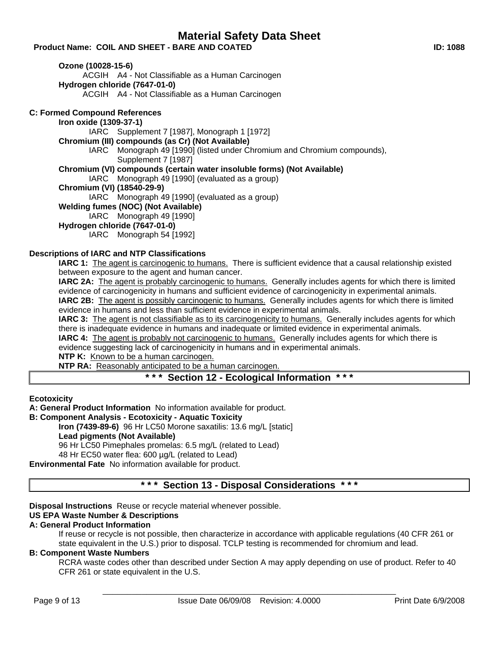Product Name: COIL AND SHEET - BARE AND COATED **ID: 1088** 

**Ozone (10028-15-6)**

ACGIH A4 - Not Classifiable as a Human Carcinogen

**Hydrogen chloride (7647-01-0)**

ACGIH A4 - Not Classifiable as a Human Carcinogen

# **C: Formed Compound References**

## **Iron oxide (1309-37-1)**

IARC Supplement 7 [1987], Monograph 1 [1972]

# **Chromium (III) compounds (as Cr) (Not Available)**

IARC Monograph 49 [1990] (listed under Chromium and Chromium compounds), Supplement 7 [1987]

# **Chromium (VI) compounds (certain water insoluble forms) (Not Available)**

IARC Monograph 49 [1990] (evaluated as a group)

# **Chromium (VI) (18540-29-9)**

 $IARC$  Monograph 49 [1990] (evaluated as a group)

# **Welding fumes (NOC) (Not Available)**

IARC Monograph 49 [1990]

## **Hydrogen chloride (7647-01-0)**

IARC Monograph 54 [1992]

# **Descriptions of IARC and NTP Classifications**

**IARC 1:** The agent is carcinogenic to humans. There is sufficient evidence that a causal relationship existed between exposure to the agent and human cancer.

**IARC 2A:** The agent is probably carcinogenic to humans. Generally includes agents for which there is limited evidence of carcinogenicity in humans and sufficient evidence of carcinogenicity in experimental animals.

**IARC 2B:** The agent is possibly carcinogenic to humans. Generally includes agents for which there is limited evidence in humans and less than sufficient evidence in experimental animals.

**IARC 3:** The agent is not classifiable as to its carcinogenicity to humans. Generally includes agents for which there is inadequate evidence in humans and inadequate or limited evidence in experimental animals.

**IARC 4:** The agent is probably not carcinogenic to humans. Generally includes agents for which there is evidence suggesting lack of carcinogenicity in humans and in experimental animals.

**NTP K:** Known to be a human carcinogen.

**NTP RA:** Reasonably anticipated to be a human carcinogen.

# **\* \* \* Section 12 - Ecological Information \* \* \***

**Ecotoxicity**

**A: General Product Information** No information available for product.

# **B: Component Analysis - Ecotoxicity - Aquatic Toxicity**

**Iron (7439-89-6)** 96 Hr LC50 Morone saxatilis: 13.6 mg/L [static]

# **Lead pigments (Not Available)**

96 Hr LC50 Pimephales promelas: 6.5 mg/L (related to Lead)

48 Hr EC50 water flea: 600 µg/L (related to Lead)

**Environmental Fate** No information available for product.

# **\* \* \* Section 13 - Disposal Considerations \* \* \***

**Disposal Instructions** Reuse or recycle material whenever possible.

## **US EPA Waste Number & Descriptions**

# **A: General Product Information**

If reuse or recycle is not possible, then characterize in accordance with applicable regulations (40 CFR 261 or state equivalent in the U.S.) prior to disposal. TCLP testing is recommended for chromium and lead.

## **B: Component Waste Numbers**

RCRA waste codes other than described under Section A may apply depending on use of product. Refer to 40 CFR 261 or state equivalent in the U.S.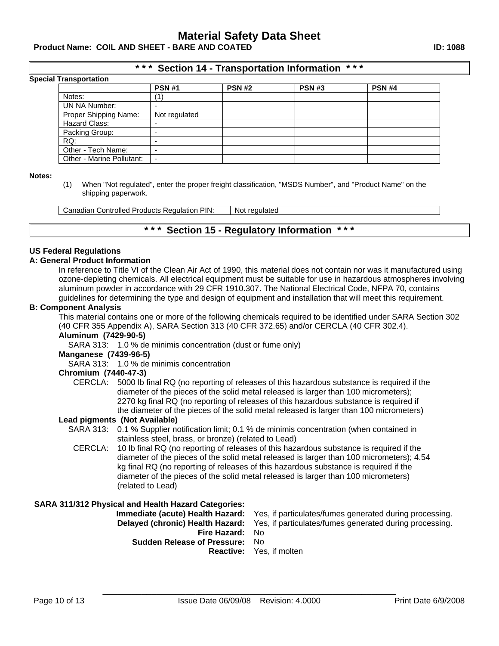Product Name: COIL AND SHEET - BARE AND COATED **ID: 1088** 

# **\* \* \* Section 14 - Transportation Information \* \* \***

|  |  | <b>Special Transportation</b> |
|--|--|-------------------------------|
|--|--|-------------------------------|

| ι ι αποροπαιισπ           |                          |               |               |               |  |
|---------------------------|--------------------------|---------------|---------------|---------------|--|
|                           | <b>PSN #1</b>            | <b>PSN #2</b> | <b>PSN #3</b> | <b>PSN #4</b> |  |
| Notes:                    |                          |               |               |               |  |
| UN NA Number:             |                          |               |               |               |  |
| Proper Shipping Name:     | Not regulated            |               |               |               |  |
| Hazard Class:             |                          |               |               |               |  |
| Packing Group:            |                          |               |               |               |  |
| RQ:                       |                          |               |               |               |  |
| Other - Tech Name:        |                          |               |               |               |  |
| Other - Marine Pollutant: | $\overline{\phantom{0}}$ |               |               |               |  |

#### **Notes:**

(1) When "Not regulated", enter the proper freight classification, "MSDS Number", and "Product Name" on the shipping paperwork.

Canadian Controlled Products Regulation PIN: Not regulated

# **\* \* \* Section 15 - Regulatory Information \* \* \***

#### **US Federal Regulations**

#### **A: General Product Information**

In reference to Title VI of the Clean Air Act of 1990, this material does not contain nor was it manufactured using ozone-depleting chemicals. All electrical equipment must be suitable for use in hazardous atmospheres involving aluminum powder in accordance with 29 CFR 1910.307. The National Electrical Code, NFPA 70, contains guidelines for determining the type and design of equipment and installation that will meet this requirement.

#### **B: Component Analysis**

This material contains one or more of the following chemicals required to be identified under SARA Section 302 (40 CFR 355 Appendix A), SARA Section 313 (40 CFR 372.65) and/or CERCLA (40 CFR 302.4).

# **Aluminum (7429-90-5)**

SARA 313: 1.0 % de minimis concentration (dust or fume only)

#### **Manganese (7439-96-5)**

SARA 313: 1.0 % de minimis concentration

#### **Chromium (7440-47-3)**

CERCLA: 5000 lb final RQ (no reporting of releases of this hazardous substance is required if the diameter of the pieces of the solid metal released is larger than 100 micrometers); 2270 kg final RQ (no reporting of releases of this hazardous substance is required if the diameter of the pieces of the solid metal released is larger than 100 micrometers)

#### **Lead pigments (Not Available)**

- SARA 313: 0.1 % Supplier notification limit; 0.1 % de minimis concentration (when contained in stainless steel, brass, or bronze) (related to Lead)
- CERCLA: 10 lb final RQ (no reporting of releases of this hazardous substance is required if the diameter of the pieces of the solid metal released is larger than 100 micrometers); 4.54 kg final RQ (no reporting of releases of this hazardous substance is required if the diameter of the pieces of the solid metal released is larger than 100 micrometers) (related to Lead)

## **SARA 311/312 Physical and Health Hazard Categories:**

**Immediate (acute) Health Hazard:** Yes, if particulates/fumes generated during processing. **Delayed (chronic) Health Hazard:** Yes, if particulates/fumes generated during processing. **Fire Hazard:** No **Sudden Release of Pressure:** No **Reactive:** Yes, if molten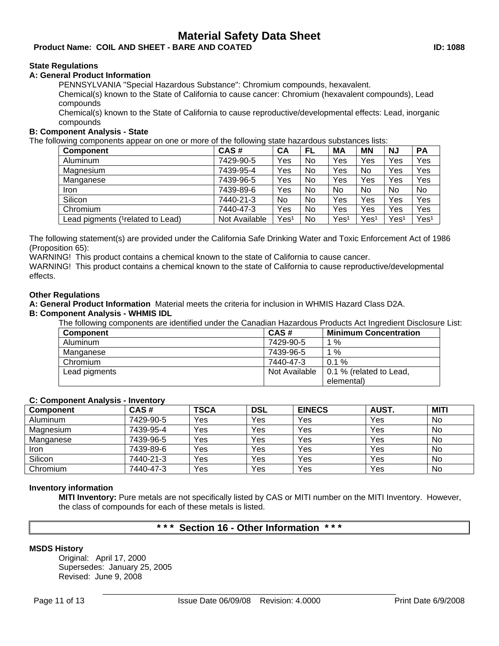# Product Name: COIL AND SHEET - BARE AND COATED **ID: 1088**

# **State Regulations**

## **A: General Product Information**

PENNSYLVANIA "Special Hazardous Substance": Chromium compounds, hexavalent.

Chemical(s) known to the State of California to cause cancer: Chromium (hexavalent compounds), Lead compounds

Chemical(s) known to the State of California to cause reproductive/developmental effects: Lead, inorganic compounds

## **B: Component Analysis - State**

The following components appear on one or more of the following state hazardous substances lists:

| <b>Component</b>                              | CAS#          | CA               | FL | МA   | <b>MN</b> | <b>NJ</b> | <b>PA</b>        |
|-----------------------------------------------|---------------|------------------|----|------|-----------|-----------|------------------|
| Aluminum                                      | 7429-90-5     | Yes              | No | Yes  | Yes       | Yes       | Yes              |
| Magnesium                                     | 7439-95-4     | Yes              | No | Yes  | No        | Yes       | Yes              |
| Manganese                                     | 7439-96-5     | Yes              | No | Yes  | Yes       | Yes       | Yes              |
| Iron                                          | 7439-89-6     | Yes              | No | No   | No        | No        | No.              |
| Silicon                                       | 7440-21-3     | No               | No | Yes  | Yes       | Yes       | Yes              |
| Chromium                                      | 7440-47-3     | Yes              | No | Yes  | Yes       | Yes       | Yes              |
| Lead pigments ( <sup>1</sup> related to Lead) | Not Available | Yes <sup>1</sup> | No | Yes1 | Yes1      | Yes1      | Yes <sup>1</sup> |

The following statement(s) are provided under the California Safe Drinking Water and Toxic Enforcement Act of 1986 (Proposition 65):

WARNING! This product contains a chemical known to the state of California to cause cancer.

WARNING! This product contains a chemical known to the state of California to cause reproductive/developmental effects.

## **Other Regulations**

**A: General Product Information** Material meets the criteria for inclusion in WHMIS Hazard Class D2A.

# **B: Component Analysis - WHMIS IDL**

The following components are identified under the Canadian Hazardous Products Act Ingredient Disclosure List:

| <b>Component</b> | CAS#          | <b>Minimum Concentration</b> |
|------------------|---------------|------------------------------|
| Aluminum         | 7429-90-5     | $1\%$                        |
| Manganese        | 7439-96-5     | $1\%$                        |
| Chromium         | 7440-47-3     | $0.1 \%$                     |
| Lead pigments    | Not Available | 0.1 % (related to Lead,      |
|                  |               | elemental)                   |

## **C: Component Analysis - Inventory**

| <b>Component</b> | CAS#      | <b>TSCA</b> | <b>DSL</b> | <b>EINECS</b> | <b>AUST.</b> | <b>MITI</b> |
|------------------|-----------|-------------|------------|---------------|--------------|-------------|
| Aluminum         | 7429-90-5 | Yes         | Yes        | Yes           | Yes          | No          |
| Magnesium        | 7439-95-4 | Yes         | Yes        | Yes           | Yes          | No          |
| Manganese        | 7439-96-5 | Yes         | Yes        | Yes           | Yes          | No          |
| <b>Iron</b>      | 7439-89-6 | Yes         | Yes        | Yes           | Yes          | No          |
| Silicon          | 7440-21-3 | Yes         | Yes        | Yes           | Yes          | No          |
| Chromium         | 7440-47-3 | Yes         | Yes        | Yes           | Yes          | <b>No</b>   |

## **Inventory information**

**MITI Inventory:** Pure metals are not specifically listed by CAS or MITI number on the MITI Inventory. However, the class of compounds for each of these metals is listed.

# **\* \* \* Section 16 - Other Information \* \* \***

## **MSDS History**

Original: April 17, 2000 Supersedes: January 25, 2005 Revised: June 9, 2008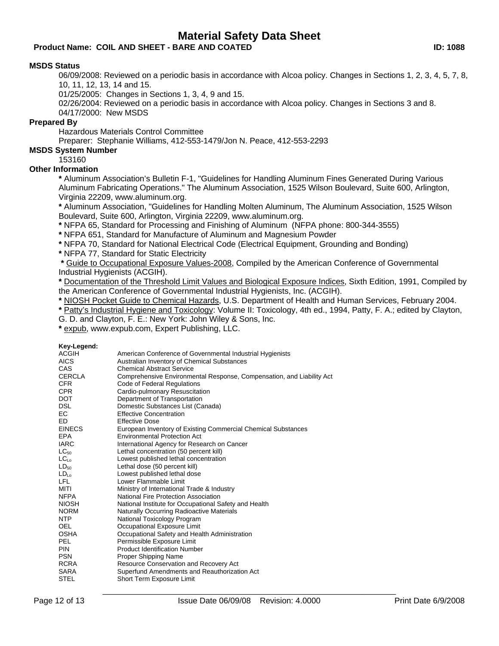# **Product Name: COIL AND SHEET - BARE AND COATED ID: 1088**

## **MSDS Status**

06/09/2008: Reviewed on a periodic basis in accordance with Alcoa policy. Changes in Sections 1, 2, 3, 4, 5, 7, 8, 10, 11, 12, 13, 14 and 15.

01/25/2005: Changes in Sections 1, 3, 4, 9 and 15.

02/26/2004: Reviewed on a periodic basis in accordance with Alcoa policy. Changes in Sections 3 and 8. 04/17/2000: New MSDS

## **Prepared By**

Hazardous Materials Control Committee

Preparer: Stephanie Williams, 412-553-1479/Jon N. Peace, 412-553-2293

# **MSDS System Number**

153160

# **Other Information**

**\*** Aluminum Association's Bulletin F-1, "Guidelines for Handling Aluminum Fines Generated During Various Aluminum Fabricating Operations." The Aluminum Association, 1525 Wilson Boulevard, Suite 600, Arlington, Virginia 22209, www.aluminum.org.

**\*** Aluminum Association, "Guidelines for Handling Molten Aluminum, The Aluminum Association, 1525 Wilson Boulevard, Suite 600, Arlington, Virginia 22209, www.aluminum.org.

**\*** NFPA 65, Standard for Processing and Finishing of Aluminum (NFPA phone: 800-344-3555)

**\*** NFPA 651, Standard for Manufacture of Aluminum and Magnesium Powder

**\*** NFPA 70, Standard for National Electrical Code (Electrical Equipment, Grounding and Bonding)

**\*** NFPA 77, Standard for Static Electricity

**\*** Guide to Occupational Exposure Values-2008, Compiled by the American Conference of Governmental Industrial Hygienists (ACGIH).

**\*** Documentation of the Threshold Limit Values and Biological Exposure Indices, Sixth Edition, 1991, Compiled by the American Conference of Governmental Industrial Hygienists, Inc. (ACGIH).

**\*** NIOSH Pocket Guide to Chemical Hazards, U.S. Department of Health and Human Services, February 2004.

**\*** Patty's Industrial Hygiene and Toxicology: Volume II: Toxicology, 4th ed., 1994, Patty, F. A.; edited by Clayton,

G. D. and Clayton, F. E.: New York: John Wiley & Sons, Inc.

**\*** expub, www.expub.com, Expert Publishing, LLC.

#### **Key-Legend:**

| <b>ACGIH</b>     | American Conference of Governmental Industrial Hygienists             |
|------------------|-----------------------------------------------------------------------|
| <b>AICS</b>      | Australian Inventory of Chemical Substances                           |
| CAS.             | <b>Chemical Abstract Service</b>                                      |
| <b>CERCLA</b>    | Comprehensive Environmental Response, Compensation, and Liability Act |
| <b>CFR</b>       | Code of Federal Regulations                                           |
| <b>CPR</b>       | Cardio-pulmonary Resuscitation                                        |
| <b>DOT</b>       | Department of Transportation                                          |
| <b>DSL</b>       | Domestic Substances List (Canada)                                     |
| EC               | <b>Effective Concentration</b>                                        |
| ED.              | <b>Effective Dose</b>                                                 |
| <b>EINECS</b>    | European Inventory of Existing Commercial Chemical Substances         |
| <b>EPA</b>       | <b>Environmental Protection Act</b>                                   |
| <b>IARC</b>      | International Agency for Research on Cancer                           |
| $LC_{50}$        | Lethal concentration (50 percent kill)                                |
| LC <sub>Lo</sub> | Lowest published lethal concentration                                 |
| LD <sub>50</sub> | Lethal dose (50 percent kill)                                         |
| LD <sub>10</sub> | Lowest published lethal dose                                          |
| LFL.             | Lower Flammable Limit                                                 |
| MITI             | Ministry of International Trade & Industry                            |
| <b>NFPA</b>      | National Fire Protection Association                                  |
| <b>NIOSH</b>     | National Institute for Occupational Safety and Health                 |
| <b>NORM</b>      | Naturally Occurring Radioactive Materials                             |
| NTP              | National Toxicology Program                                           |
| <b>OEL</b>       | Occupational Exposure Limit                                           |
| OSHA             | Occupational Safety and Health Administration                         |
| PEL.             | Permissible Exposure Limit                                            |
| <b>PIN</b>       | <b>Product Identification Number</b>                                  |
| <b>PSN</b>       | Proper Shipping Name                                                  |
| <b>RCRA</b>      | Resource Conservation and Recovery Act                                |
| SARA             | Superfund Amendments and Reauthorization Act                          |
| <b>STEL</b>      | Short Term Exposure Limit                                             |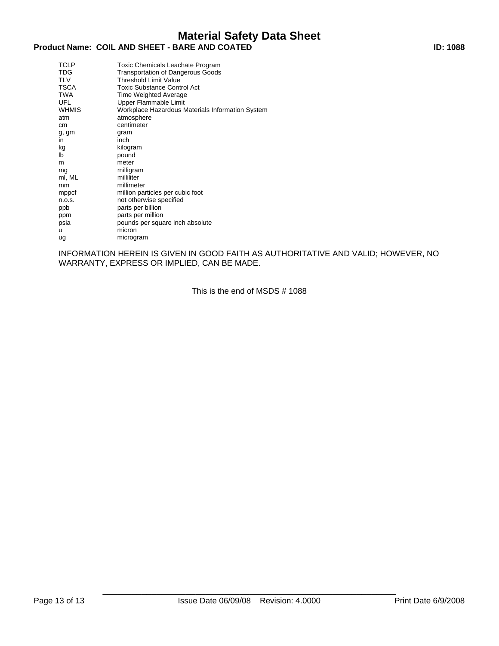# **Product Name: COIL AND SHEET - BARE AND COATED ID: 1088**

| <b>TCLP</b><br>TDG<br><b>TLV</b><br><b>TSCA</b><br><b>TWA</b><br><b>UFL</b><br><b>WHMIS</b><br>atm<br>cm | Toxic Chemicals Leachate Program<br><b>Transportation of Dangerous Goods</b><br>Threshold Limit Value<br><b>Toxic Substance Control Act</b><br>Time Weighted Average<br>Upper Flammable Limit<br>Workplace Hazardous Materials Information System<br>atmosphere<br>centimeter |
|----------------------------------------------------------------------------------------------------------|-------------------------------------------------------------------------------------------------------------------------------------------------------------------------------------------------------------------------------------------------------------------------------|
| g, gm<br>in                                                                                              | gram<br>inch                                                                                                                                                                                                                                                                  |
| kg<br>lb                                                                                                 | kilogram<br>pound                                                                                                                                                                                                                                                             |
| m<br>mg                                                                                                  | meter<br>milligram                                                                                                                                                                                                                                                            |
| ml, ML                                                                                                   | milliliter                                                                                                                                                                                                                                                                    |
| mm                                                                                                       | millimeter                                                                                                                                                                                                                                                                    |
| mppcf<br>n.o.s.                                                                                          | million particles per cubic foot<br>not otherwise specified                                                                                                                                                                                                                   |
| ppb                                                                                                      | parts per billion                                                                                                                                                                                                                                                             |
| ppm                                                                                                      | parts per million                                                                                                                                                                                                                                                             |
| psia                                                                                                     | pounds per square inch absolute                                                                                                                                                                                                                                               |
| u                                                                                                        | micron                                                                                                                                                                                                                                                                        |
| ug                                                                                                       | microgram                                                                                                                                                                                                                                                                     |

INFORMATION HEREIN IS GIVEN IN GOOD FAITH AS AUTHORITATIVE AND VALID; HOWEVER, NO WARRANTY, EXPRESS OR IMPLIED, CAN BE MADE.

This is the end of MSDS # 1088